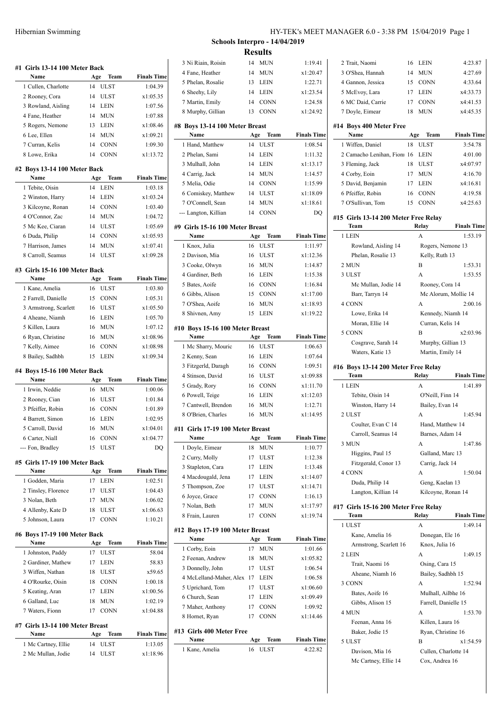| #1 Girls 13-14 100 Meter Back<br>Name                                                            | Team<br>Age                     | <b>Finals Time</b>   |
|--------------------------------------------------------------------------------------------------|---------------------------------|----------------------|
| 1 Cullen, Charlotte                                                                              | 14<br><b>ULST</b>               | 1:04.39              |
| 2 Rooney, Cora                                                                                   | <b>ULST</b><br>14               | x1:05.35             |
| 3 Rowland, Aisling                                                                               | 14<br>LEIN                      | 1:07.56              |
| 4 Fane, Heather                                                                                  | MUN<br>14                       | 1:07.88              |
| 5 Rogers, Nemone                                                                                 | 13<br>LEIN                      | x1:08.46             |
| 6 Lee, Ellen                                                                                     | 14<br>MUN                       | x1:09.21             |
| 7 Curran, Kelis                                                                                  | 14<br><b>CONN</b>               | 1:09.30              |
| 8 Lowe, Erika                                                                                    | <b>CONN</b><br>14               | x1:13.72             |
| #2 Boys 13-14 100 Meter Back                                                                     |                                 |                      |
| Name                                                                                             | Team<br>Age<br>14               | <b>Finals Time</b>   |
| 1 Tebite, Oisin                                                                                  | <b>LEIN</b>                     | 1:03.18              |
| 2 Winston, Harry                                                                                 | 14<br><b>LEIN</b><br>CONN<br>14 | x1:03.24<br>1:03.40  |
| 3 Kilcoyne, Ronan<br>4 O'Connor, Zac                                                             | MUN<br>14                       | 1:04.72              |
| 5 Mc Kee, Ciaran                                                                                 | <b>ULST</b><br>14               | 1:05.69              |
| 6 Duda, Philip                                                                                   | 14<br><b>CONN</b>               | x1:05.93             |
| 7 Harrison, James                                                                                | 14<br>MUN                       | x1:07.41             |
| 8 Carroll, Seamus                                                                                | <b>ULST</b><br>14               | x1:09.28             |
|                                                                                                  |                                 |                      |
| #3 Girls 15-16 100 Meter Back                                                                    |                                 |                      |
| Name                                                                                             | Team<br>Age<br>16               | <b>Finals Time</b>   |
| 1 Kane, Amelia                                                                                   | <b>ULST</b>                     | 1:03.80<br>1:05.31   |
| 2 Farrell, Danielle                                                                              | 15<br><b>CONN</b>               |                      |
| 3 Armstrong, Scarlett                                                                            | 16<br><b>ULST</b>               | x1:05.50             |
| 4 Aheane, Niamh                                                                                  | 16<br>LEIN<br>16                | 1:05.70              |
| 5 Killen, Laura                                                                                  | MUN<br>16                       | 1:07.12              |
| 6 Ryan, Christine<br>7 Kelly, Aimee                                                              | MUN<br>16<br><b>CONN</b>        | x1:08.96<br>x1:08.98 |
| 8 Bailey, Sadhbh                                                                                 | 15<br><b>LEIN</b>               | x1:09.34             |
|                                                                                                  |                                 |                      |
| #4 Boys 15-16 100 Meter Back<br>Name                                                             | Team<br>Age                     | <b>Finals Time</b>   |
| 1 Irwin, Neddie                                                                                  | 16<br><b>MUN</b>                | 1:00.06              |
| 2 Rooney, Cian                                                                                   | 16<br><b>ULST</b>               | 1:01.84              |
| 3 Pfeiffer, Robin                                                                                | <b>CONN</b><br>16               | 1:01.89              |
| 4 Barrett, Simon                                                                                 | 16<br><b>LEIN</b>               | 1:02.95              |
|                                                                                                  |                                 |                      |
|                                                                                                  | 16                              | x1:04.01             |
| 5 Carroll, David                                                                                 | MUN<br>16                       |                      |
| 6 Carter, Niall<br>--- Fon, Bradley                                                              | CONN<br>15<br>ULST              | x1:04.77<br>DQ       |
|                                                                                                  |                                 |                      |
| Name                                                                                             | Team<br>Age                     | <b>Finals Time</b>   |
| 1 Godden, Maria                                                                                  | 17<br><b>LEIN</b>               | 1:02.51              |
| 2 Tinsley, Florence                                                                              | 17<br><b>ULST</b>               | 1:04.43              |
| 3 Nolan, Beth                                                                                    | MUN<br>17                       | 1:06.02              |
| 4 Allenby, Kate D                                                                                | 18<br>ULST                      | x1:06.63             |
| 5 Johnson, Laura                                                                                 | <b>CONN</b><br>17               | 1:10.21              |
| Name                                                                                             | Age<br>Team                     | <b>Finals Time</b>   |
| 1 Johnston, Paddy                                                                                | <b>ULST</b><br>17               | 58.04                |
| 2 Gardiner, Mathew                                                                               | 17<br><b>LEIN</b>               | 58.83                |
| 3 Wiffen, Nathan                                                                                 | <b>ULST</b><br>18               | x59.65               |
| 4 O'Rourke, Oisin                                                                                | 18<br><b>CONN</b>               | 1:00.18              |
| 5 Keating, Aran                                                                                  | 17<br><b>LEIN</b>               | x1:00.56             |
| 6 Galland, Luc                                                                                   | 18<br>MUN                       | 1:02.19              |
| 7 Waters, Fionn                                                                                  | <b>CONN</b><br>17               | x1:04.88             |
| #5 Girls 17-19 100 Meter Back<br>#6 Boys 17-19 100 Meter Back<br>#7 Girls 13-14 100 Meter Breast |                                 |                      |
| Name                                                                                             | Age<br>Team                     | <b>Finals Time</b>   |
| 1 Mc Cartney, Ellie<br>2 Mc Mullan, Jodie                                                        | 14<br><b>ULST</b><br>14<br>ULST | 1:13.05<br>x1:18.96  |

## Hibernian Swimming HY-TEK's MEET MANAGER 6.0 - 3:38 PM 15/04/2019 Page 1

**Schools Interpro - 14/04/2019 Results**

 $\overline{\phantom{a}}$ 

 $\overline{a}$ 

 $\overline{a}$ 

 $\overline{a}$ 

 $\overline{\phantom{a}}$ 

 $\overline{\phantom{a}}$ 

|                                         | ілсэшіз                          |                               |
|-----------------------------------------|----------------------------------|-------------------------------|
| 3 Ni Riain, Roisin                      | 14 MUN                           | 1:19.41                       |
| 4 Fane, Heather                         | <b>MUN</b><br>14                 | x1:20.47                      |
| 5 Phelan, Rosalie                       | LEIN<br>13                       | 1:22.71                       |
| 6 Sheehy, Lily                          | 14<br><b>LEIN</b>                | x1:23.54                      |
| 7 Martin, Emily                         | 14<br><b>CONN</b>                | 1:24.58                       |
| 8 Murphy, Gillian                       | <b>CONN</b><br>13                | x1:24.92                      |
|                                         |                                  |                               |
| #8 Boys 13-14 100 Meter Breast          |                                  |                               |
| Name                                    | Age<br>Team<br>14<br><b>ULST</b> | <b>Finals Time</b><br>1:08.54 |
| 1 Hand, Matthew                         |                                  |                               |
| 2 Phelan, Sami                          | 14<br><b>LEIN</b>                | 1:11.32                       |
| 3 Mulhall, John                         | LEIN<br>14                       | x1:13.17                      |
| 4 Carrig, Jack                          | 14 MUN                           | 1:14.57                       |
| 5 Melia, Odie                           | 14 CONN                          | 1:15.99                       |
| 6 Comiskey, Matthew                     | <b>ULST</b><br>14                | x1:18.09                      |
| 7 O'Connell, Sean                       | <b>MUN</b><br>14                 | x1:18.61                      |
| --- Langton, Killian                    | <b>CONN</b><br>14                | DQ                            |
| #9 Girls 15-16 100 Meter Breast         |                                  |                               |
| Name                                    | Age<br>Team                      | <b>Finals Time</b>            |
| 1 Knox, Julia                           | <b>ULST</b><br>16                | 1:11.97                       |
| 2 Davison, Mia                          | 16<br>ULST                       | x1:12.36                      |
| 3 Cooke, Olwyn                          | 16<br>MUN                        | 1:14.87                       |
| 4 Gardiner, Beth                        | LEIN<br>16                       | 1:15.38                       |
| 5 Bates, Aoife                          | CONN<br>16                       | 1:16.84                       |
| 6 Gibbs, Alison                         | 15<br>CONN                       | x1:17.00                      |
| 7 O'Shea, Aoife                         | 16<br>MUN                        | x1:18.93                      |
| 8 Shivnen, Amy                          | 15<br><b>LEIN</b>                | x1:19.22                      |
|                                         |                                  |                               |
| #10 Boys 15-16 100 Meter Breast         |                                  |                               |
| Name                                    | Age<br>Team<br><b>ULST</b><br>16 | <b>Finals Time</b><br>1:06.63 |
| 1 Mc Sharry, Mouric<br>2 Kenny, Sean    | 16<br><b>LEIN</b>                | 1:07.64                       |
|                                         | 16<br>CONN                       | 1:09.51                       |
| 3 Fitzgerld, Daragh<br>4 Stinson, David |                                  |                               |
| 5 Grady, Rory                           | ULST<br>16                       | x1:09.88                      |
|                                         | 16<br><b>CONN</b>                | x1:11.70                      |
| 6 Powell, Teige                         | 16<br><b>LEIN</b>                | x1:12.03                      |
| 7 Cantwell, Brendon                     | <b>MUN</b><br>16                 | 1:12.71<br>x1:14.95           |
| 8 O'Brien, Charles                      | <b>MUN</b><br>16                 |                               |
| #11 Girls 17-19 100 Meter Breast        |                                  |                               |
| Name                                    | Team<br>Age                      | <b>Finals Time</b>            |
| 1 Doyle, Eimear                         | 18<br><b>MUN</b>                 | 1:10.77                       |
| 2 Curry, Molly                          | <b>ULST</b><br>17                | 1:12.38                       |
| 3 Stapleton, Cara                       | 17<br><b>LEIN</b>                | 1:13.48                       |
| 4 Macdougald, Jena                      | 17<br>LEIN                       | x1:14.07                      |
| 5 Thompson, Zoe                         | 17<br><b>ULST</b>                | x1:14.71                      |
| 6 Joyce, Grace                          | <b>CONN</b><br>17                | 1:16.13                       |
| 7 Nolan, Beth                           | <b>MUN</b><br>17                 | x1:17.97                      |
| 8 Frain, Lauren                         | <b>CONN</b><br>17                | x1:19.74                      |
| #12 Boys 17-19 100 Meter Breast         |                                  |                               |
| Name                                    | Age<br>Team                      | <b>Finals Time</b>            |
| 1 Corby, Eoin                           | 17<br><b>MUN</b>                 | 1:01.66                       |
| 2 Feenan, Andrew                        | 18<br>MUN                        | x1:05.82                      |
|                                         |                                  | 1:06.54                       |
|                                         | <b>ULST</b><br>17                |                               |
| 3 Donnelly, John                        | 17                               | 1:06.58                       |
| 4 McLelland-Maher, Alex                 | LEIN<br>17                       | x1:06.60                      |
| 5 Uprichard, Tom                        | <b>ULST</b>                      |                               |
| 6 Church, Sean                          | 17<br>LEIN                       | x1:09.49                      |
| 7 Maher, Anthony                        | <b>CONN</b><br>17                | 1:09.92                       |
| 8 Hornet, Ryan                          | <b>CONN</b><br>17                | x1:14.46                      |
| #13  Girls 400 Meter Free               |                                  |                               |
| Name                                    | Age<br>Team                      | <b>Finals Time</b>            |
| 1 Kane, Amelia                          | <b>ULST</b><br>16                | 4:22.82                       |

| 2 Trait, Naomi                               | 16  | LEIN                              | 4:23.87            |
|----------------------------------------------|-----|-----------------------------------|--------------------|
| 3 O'Shea, Hannah                             | 14  | MUN                               | 4:27.69            |
| 4 Gannon, Jessica                            | 15  | <b>CONN</b>                       | 4:33.64            |
| 5 McEvoy, Lara                               | 17  | LEIN                              | x4:33.73           |
| 6 MC Daid, Carrie                            | 17  | <b>CONN</b>                       | x4:41.53           |
| 7 Doyle, Eimear                              | 18  | <b>MUN</b>                        | x4:45.35           |
|                                              |     |                                   |                    |
| #14 Boys 400 Meter Free<br>Name              | Age | Team                              | <b>Finals Time</b> |
| 1 Wiffen, Daniel                             | 18  | ULST                              | 3:54.78            |
| 2 Camacho Lenihan, Fioni 16                  |     | LEIN                              | 4:01.00            |
| 3 Fleming, Jack                              | 18  | ULST                              | x4:07.97           |
| 4 Corby, Eoin                                | 17  | MUN                               | 4:16.70            |
| 5 David, Benjamin                            |     | 17 LEIN                           | x4:16.81           |
| 6 Pfeiffer, Robin                            | 16  | <b>CONN</b>                       | 4:19.58            |
| 7 O'Sullivan, Tom                            | 15  | <b>CONN</b>                       | x4:25.63           |
| #15  Girls 13-14 200 Meter Free Relay        |     |                                   |                    |
| Team                                         |     | Relay                             | <b>Finals Time</b> |
| 1 LEIN                                       |     | А                                 | 1:53.19            |
| Rowland, Aisling 14                          |     | Rogers, Nemone 13                 |                    |
| Phelan, Rosalie 13                           |     | Kelly, Ruth 13                    |                    |
| 2 MUN                                        |     | B                                 | 1:53.31            |
| 3 ULST                                       |     | A                                 | 1:53.55            |
| Mc Mullan, Jodie 14                          |     | Rooney, Cora 14                   |                    |
| Barr, Tarryn 14                              |     | Mc Alorum, Mollie 14              |                    |
| 4 CONN                                       |     | A                                 | 2:00.16            |
| Lowe, Erika 14                               |     | Kennedy, Niamh 14                 |                    |
| Moran, Ellie 14                              |     | Curran, Kelis 14                  |                    |
| 5 CONN                                       |     | B                                 | x2:03.96           |
| Cosgrave, Sarah 14                           |     | Murphy, Gillian 13                |                    |
| Waters, Katie 13                             |     | Martin, Emily 14                  |                    |
|                                              |     |                                   |                    |
| #16 Boys 13-14 200 Meter Free Relay          |     |                                   |                    |
| Team                                         |     | Relay                             | <b>Finals Time</b> |
| 1 LEIN                                       |     | А                                 | 1:41.89            |
| Tebite, Oisin 14                             |     | O'Neill, Finn 14                  |                    |
| Winston, Harry 14                            |     | Bailey, Evan 14                   |                    |
| 2 ULST                                       |     | А                                 | 1:45.94            |
| Coulter, Evan C 14                           |     | Hand, Matthew 14                  |                    |
| Carroll, Seamus 14                           |     | Barnes, Adam 14                   |                    |
| 3 MUN                                        |     | А                                 | 1:47.86            |
| Higgins, Paul 15                             |     | Galland, Marc 13                  |                    |
| Fitzgerald, Conor 13                         |     | Carrig, Jack 14                   |                    |
| 4 CONN                                       |     | А                                 | 1:50.04            |
| Duda, Philip 14                              |     | Geng, Kaelan 13                   |                    |
| Langton, Killian 14                          |     | Kilcoyne, Ronan 14                |                    |
| #17 Girls 15-16 200 Meter Free Relay<br>Team |     | Relay                             | <b>Finals Time</b> |
| 1 ULST                                       |     | А                                 | 1:49.14            |
| Kane, Amelia 16                              |     |                                   |                    |
| Armstrong, Scarlett 16                       |     | Donegan, Ele 16<br>Knox, Julia 16 |                    |
| 2 LEIN                                       |     | А                                 | 1:49.15            |
| Trait, Naomi 16                              |     | Osing, Cara 15                    |                    |
| Aheane, Niamh 16                             |     | Bailey, Sadhbh 15                 |                    |
| 3 CONN                                       |     | А                                 | 1:52.94            |
| Bates, Aoife 16                              |     | Mulhall, Ailbhe 16                |                    |
| Gibbs, Alison 15                             |     | Farrell, Danielle 15              |                    |
| 4 MUN                                        |     | А                                 | 1:53.70            |
| Feenan, Anna 16                              |     | Killen, Laura 16                  |                    |
| Baker, Jodie 15                              |     | Ryan, Christine 16                |                    |
| 5 ULST                                       |     | B                                 | x1:54.59           |
| Davison, Mia 16                              |     | Cullen, Charlotte 14              |                    |
| Mc Cartney, Ellie 14                         |     | Cox, Andrea 16                    |                    |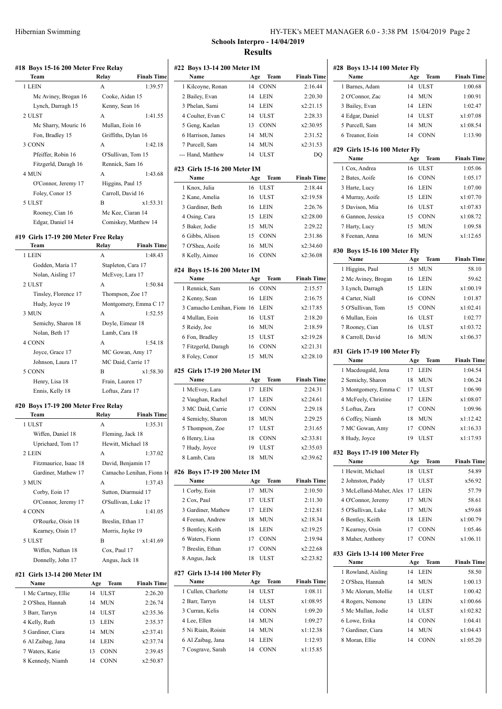| #18 Boys 15-16 200 Meter Free Relay  |                      |                       |
|--------------------------------------|----------------------|-----------------------|
| Team                                 | Relay                | <b>Finals Time</b>    |
| 1 LEIN                               | A                    | 1:39.57               |
| Mc Aviney, Brogan 16                 | Cooke, Aidan 15      |                       |
| Lynch, Darragh 15                    | Kenny, Sean 16       |                       |
| 2 ULST                               | A                    | 1:41.55               |
| Mc Sharry, Mouric 16                 | Mullan, Eoin 16      |                       |
| Fon, Bradley 15                      | Griffiths, Dylan 16  |                       |
| 3 CONN                               | A                    | 1:42.18               |
| Pfeiffer, Robin 16                   |                      | O'Sullivan, Tom 15    |
| Fitzgerld, Daragh 16                 | Rennick, Sam 16      |                       |
| 4 MUN                                | A                    | 1:43.68               |
| O'Connor, Jeremy 17                  | Higgins, Paul 15     |                       |
| Foley, Conor 15                      | Carroll, David 16    |                       |
| 5 ULST                               | B                    | x1:53.31              |
| Rooney, Cian 16                      |                      | Mc Kee, Ciaran 14     |
| Edgar, Daniel 14                     | Comiskey, Matthew 14 |                       |
| #19 Girls 17-19 200 Meter Free Relay |                      |                       |
| Team                                 | Relay                | <b>Finals Time</b>    |
| 1 LEIN                               | A                    | 1:48.43               |
| Godden, Maria 17                     | Stapleton, Cara 17   |                       |
| Nolan, Aisling 17                    | McEvoy, Lara 17      |                       |
| 2 ULST                               | A                    | 1:50.84               |
| Tinsley, Florence 17                 | Thompson, Zoe 17     |                       |
|                                      |                      |                       |
| Hudy, Joyce 19                       |                      | Montgomery, Emma C 17 |
| 3 MUN                                | A                    | 1:52.55               |
| Semichy, Sharon 18                   | Doyle, Eimear 18     |                       |
| Nolan, Beth 17                       | Lamb, Cara 18        |                       |
| 4 CONN                               | A                    | 1:54.18               |
| Joyce, Grace 17                      |                      | MC Gowan, Amy 17      |
| Johnson, Laura 17                    |                      | MC Daid, Carrie 17    |
| 5 CONN                               | B                    | x1:58.30              |

## **#20 Boys 17-19 200 Meter Free Relay**

Ennis, Kelly 18 Loftus, Zara 17

| Team                  | Relay             | <b>Finals Time</b>       |
|-----------------------|-------------------|--------------------------|
| 1 ULST                | A                 | 1:35.31                  |
| Wiffen, Daniel 18     | Fleming, Jack 18  |                          |
| Uprichard, Tom 17     |                   | Hewitt, Michael 18       |
| 2 LEIN                | A                 | 1:37.02                  |
| Fitzmaurice, Isaac 18 |                   | David, Benjamin 17       |
| Gardiner, Mathew 17   |                   | Camacho Lenihan, Fionn 1 |
| 3 MUN                 | A                 | 1:37.43                  |
| Corby, Eoin 17        |                   | Sutton, Diarmuid 17      |
| O'Connor, Jeremy 17   |                   | O'Sullivan, Luke 17      |
| 4 CONN                | A                 | 1:41.05                  |
| O'Rourke, Oisin 18    | Breslin, Ethan 17 |                          |
| Kearney, Oisin 17     | Morris, Jayke 19  |                          |
| 5 ULST                | B                 | x1:41.69                 |
| Wiffen, Nathan 18     | Cox, Paul 17      |                          |
| Donnelly, John 17     | Angus, Jack 18    |                          |

## **#21 Girls 13-14 200 Meter IM**

| Name                | Age | <b>Team</b> | <b>Finals Time</b> |
|---------------------|-----|-------------|--------------------|
| 1 Mc Cartney, Ellie | 14  | ULST        | 2:26.20            |
| 2 O'Shea, Hannah    | 14  | MUN         | 2:26.74            |
| 3 Barr, Tarryn      | 14  | <b>ULST</b> | x2:35.36           |
| 4 Kelly, Ruth       | 13  | LEIN        | 2:35.37            |
| 5 Gardiner, Ciara   | 14  | MUN         | x2:37.41           |
| 6 Al Zaibag, Jana   | 14  | LEIN        | x2:37.74           |
| 7 Waters, Katie     | 13  | <b>CONN</b> | 2:39.45            |
| 8 Kennedy, Niamh    | 14  | <b>CONN</b> | x2:50.87           |

## HY-TEK's MEET MANAGER 6.0 - 3:38 PM 15/04/2019 Page 2 **Schools Interpro - 14/04/2019 Results**

| #22 Boys 13-14 200 Meter IM           |     |             |                    |
|---------------------------------------|-----|-------------|--------------------|
| Name                                  | Age | Team        | <b>Finals Time</b> |
| 1 Kilcoyne, Ronan                     | 14  | <b>CONN</b> | 2:16.44            |
| 2 Bailey, Evan                        | 14  | LEIN        | 2:20.30            |
| 3 Phelan, Sami                        | 14  | LEIN        | x2:21.15           |
| 4 Coulter, Evan C                     | 14  | <b>ULST</b> | 2:28.33            |
| 5 Geng, Kaelan                        | 13  | <b>CONN</b> | x2:30.95           |
| 6 Harrison, James                     | 14  | MUN         | 2:31.52            |
| 7 Purcell, Sam                        | 14  | <b>MUN</b>  | x2:31.53           |
| --- Hand, Matthew                     | 14  | ULST        | DO                 |
| #23 Girls 15-16 200 Meter IM<br>Name  | Age | Team        | <b>Finals Time</b> |
| 1 Knox, Julia                         | 16  | <b>ULST</b> | 2:18.44            |
| 2 Kane, Amelia                        | 16  | ULST        | x2:19.58           |
| 3 Gardiner, Beth                      | 16  | <b>LEIN</b> | 2:26.76            |
| 4 Osing, Cara                         | 15  | <b>LEIN</b> | x2:28.00           |
| 5 Baker, Jodie                        | 15  | <b>MUN</b>  | 2:29.22            |
| 6 Gibbs, Alison                       | 15  | <b>CONN</b> | 2:31.86            |
| 7 O'Shea, Aoife                       | 16  | <b>MUN</b>  | x2:34.60           |
| 8 Kelly, Aimee                        | 16  | <b>CONN</b> | x2:36.08           |
|                                       |     |             |                    |
| #24 Boys 15-16 200 Meter IM<br>Name   | Age | Team        | <b>Finals Time</b> |
| 1 Rennick, Sam                        | 16  | <b>CONN</b> | 2:15.57            |
| 2 Kenny, Sean                         | 16  | <b>LEIN</b> | 2:16.75            |
| 3 Camacho Lenihan, Fioni 16           |     | <b>LEIN</b> | x2:17.85           |
| 4 Mullan, Eoin                        | 16  | <b>ULST</b> | 2:18.20            |
| 5 Reidy, Joe                          | 16  | MUN         | 2:18.59            |
| 6 Fon, Bradley                        | 15  | <b>ULST</b> | x2:19.28           |
| 7 Fitzgerld, Daragh                   | 16  | CONN        | x2:21.31           |
| 8 Foley, Conor                        | 15  | MUN         | x2:28.10           |
| #25 Girls 17-19 200 Meter IM          |     |             |                    |
| Name                                  | Age | Team        | <b>Finals Time</b> |
| 1 McEvoy, Lara                        | 17  | <b>LEIN</b> | 2:24.31            |
| 2 Vaughan, Rachel                     | 17  | <b>LEIN</b> | x2:24.61           |
| 3 MC Daid, Carrie                     | 17  | <b>CONN</b> | 2:29.18            |
| 4 Semichy, Sharon                     | 18  | <b>MUN</b>  | 2:29.25            |
| 5 Thompson, Zoe                       | 17  | <b>ULST</b> | 2:31.65            |
| 6 Henry, Lisa                         | 18  | <b>CONN</b> | x2:33.81           |
| 7 Hudy, Joyce                         | 19  | ULST        | x2:35.03           |
| 8 Lamb, Cara                          | 18  | <b>MUN</b>  | x2:39.62           |
| #26 Boys 17-19 200 Meter IM           |     |             |                    |
| Name                                  | Age | Team        | <b>Finals Time</b> |
| 1 Corby, Eoin                         | 17  | <b>MUN</b>  | 2:10.50            |
| 2 Cox, Paul                           | 17  | ULST        | 2:11.30            |
| 3 Gardiner, Mathew                    | 17  | LEIN        | 2:12.81            |
| 4 Feenan, Andrew                      | 18  | MUN         | x2:18.34           |
| 5 Bentley, Keith                      | 18  | LEIN        | x2:19.25           |
| 6 Waters, Fionn                       | 17  | <b>CONN</b> | 2:19.94            |
| 7 Breslin, Ethan                      | 17  | CONN        | x2:22.68           |
| 8 Angus, Jack                         | 18  | ULST        | x2:23.82           |
| #27 Girls 13-14 100 Meter Fly<br>Name | Age | Team        | <b>Finals Time</b> |
| 1 Cullen, Charlotte                   | 14  | <b>ULST</b> | 1:08.11            |
| 2 Barr, Tarryn                        | 14  | ULST        | x1:08.95           |
| 3 Curran, Kelis                       | 14  | <b>CONN</b> | 1:09.20            |
| 4 Lee, Ellen                          | 14  | MUN         | 1:09.27            |
| 5 Ni Riain, Roisin                    | 14  | <b>MUN</b>  | x1:12.38           |
| 6 Al Zaibag, Jana                     | 14  | LEIN        | 1:12.93            |
| 7 Cosgrave, Sarah                     | 14  | CONN        | x1:15.85           |

| #28 Boys 13-14 100 Meter Fly           |     |             |                    |
|----------------------------------------|-----|-------------|--------------------|
| Name                                   | Age | Team        | <b>Finals Time</b> |
| 1 Barnes, Adam                         | 14  | <b>ULST</b> | 1:00.68            |
| 2 O'Connor, Zac                        | 14  | <b>MUN</b>  | 1:00.91            |
| 3 Bailey, Evan                         | 14  | <b>LEIN</b> | 1:02.47            |
| 4 Edgar, Daniel                        | 14  | <b>ULST</b> | x1:07.08           |
| 5 Purcell, Sam                         | 14  | <b>MUN</b>  | x1:08.54           |
| 6 Treanor, Eoin                        | 14  | <b>CONN</b> | 1:13.90            |
| #29 Girls 15-16 100 Meter Fly          |     |             |                    |
| Name                                   | Age | Team        | <b>Finals Time</b> |
| 1 Cox, Andrea                          | 16  | <b>ULST</b> | 1:05.06            |
| 2 Bates, Aoife                         | 16  | <b>CONN</b> | 1:05.17            |
| 3 Harte, Lucy                          | 16  | <b>LEIN</b> | 1:07.00            |
| 4 Murray, Aoife                        | 15  | <b>LEIN</b> | x1:07.70           |
| 5 Davison, Mia                         | 16  | <b>ULST</b> | x1:07.83           |
| 6 Gannon, Jessica                      | 15  | <b>CONN</b> | x1:08.72           |
| 7 Harty, Lucy                          | 15  | <b>MUN</b>  | 1:09.58            |
| 8 Feenan, Anna                         | 16  | <b>MUN</b>  | x1:12.65           |
| #30 Boys 15-16 100 Meter Fly           |     |             |                    |
| Name                                   | Age | Team        | <b>Finals Time</b> |
| 1 Higgins, Paul                        | 15  | <b>MUN</b>  | 58.10              |
| 2 Mc Aviney, Brogan                    | 16  | <b>LEIN</b> | 59.62              |
| 3 Lynch, Darragh                       | 15  | <b>LEIN</b> | x1:00.19           |
| 4 Carter, Niall                        | 16  | <b>CONN</b> | 1:01.87            |
| 5 O'Sullivan, Tom                      | 15  | <b>CONN</b> | x1:02.41           |
| 6 Mullan, Eoin                         | 16  | <b>ULST</b> | 1:02.77            |
| 7 Rooney, Cian                         | 16  | <b>ULST</b> | x1:03.72           |
| 8 Carroll, David                       | 16  | <b>MUN</b>  | x1:06.37           |
| #31 Girls 17-19 100 Meter Fly          |     |             |                    |
| Name                                   | Age | Team        | <b>Finals Time</b> |
| 1 Macdougald, Jena                     | 17  | <b>LEIN</b> | 1:04.54            |
| 2 Semichy, Sharon                      | 18  | <b>MUN</b>  | 1:06.24            |
| 3 Montgomery, Emma C                   |     | 17 ULST     | 1:06.90            |
| 4 McFeely, Christine                   | 17  | <b>LEIN</b> | x1:08.07           |
| 5 Loftus, Zara                         | 17  | <b>CONN</b> | 1:09.96            |
| 6 Coffey, Niamh                        | 18  | <b>MUN</b>  | x1:12.42           |
| 7 MC Gowan, Amy                        | 17  | <b>CONN</b> | x1:16.33           |
| 8 Hudy, Joyce                          | 19  | <b>ULST</b> | x1:17.93           |
| #32 Boys 17-19 100 Meter Fly           |     |             |                    |
| Name                                   | Age | Team        | <b>Finals Time</b> |
| 1 Hewitt, Michael                      | 18  | <b>ULST</b> | 54.89              |
| 2 Johnston, Paddy                      | 17  | ULST        | x56.92             |
| 3 McLelland-Maher, Alex 17 LEIN        |     |             | 57.79              |
| 4 O'Connor, Jeremy                     |     | 17 MUN      | 58.61              |
| 5 O'Sullivan, Luke                     | 17  | MUN         | x59.68             |
| 6 Bentley, Keith                       | 18  | <b>LEIN</b> | x1:00.79           |
| 7 Kearney, Oisin                       | 17  | CONN        | 1:05.46            |
| 8 Maher, Anthony                       | 17  | CONN        | x1:06.11           |
| #33 Girls 13-14 100 Meter Free<br>Name | Age | Team        | <b>Finals Time</b> |
| 1 Rowland, Aisling                     | 14  | <b>LEIN</b> | 58.50              |
| 2 O'Shea, Hannah                       | 14  | MUN         | 1:00.13            |
| 3 Mc Alorum, Mollie                    | 14  | <b>ULST</b> | 1:00.42            |
| 4 Rogers, Nemone                       | 13  | LEIN        | x1:00.66           |
| 5 Mc Mullan, Jodie                     | 14  | ULST        | x1:02.82           |
| 6 Lowe, Erika                          | 14  | <b>CONN</b> | 1:04.41            |
| 7 Gardiner, Ciara                      | 14  | MUN         | x1:04.43           |
| 8 Moran, Ellie                         | 14  | <b>CONN</b> | x1:05.20           |
|                                        |     |             |                    |
|                                        |     |             |                    |